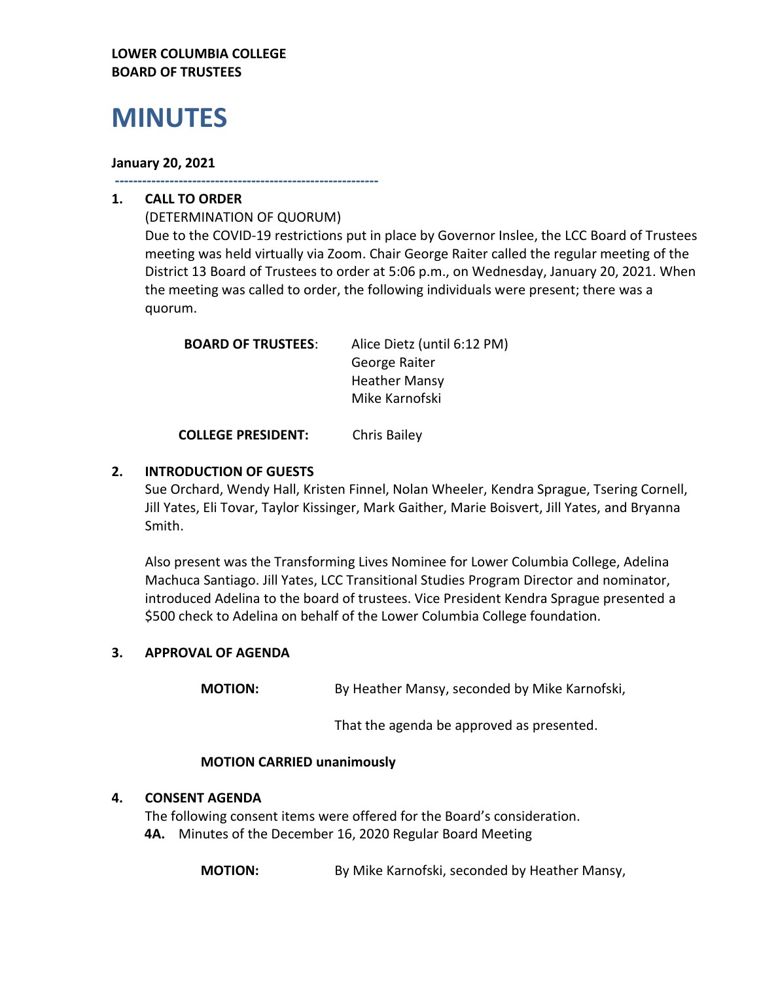### **LOWER COLUMBIA COLLEGE BOARD OF TRUSTEES**

# **MINUTES**

#### **January 20, 2021**

**----------------------------------------------------------**

# **1. CALL TO ORDER**

(DETERMINATION OF QUORUM) Due to the COVID-19 restrictions put in place by Governor Inslee, the LCC Board of Trustees meeting was held virtually via Zoom. Chair George Raiter called the regular meeting of the District 13 Board of Trustees to order at 5:06 p.m., on Wednesday, January 20, 2021. When the meeting was called to order, the following individuals were present; there was a quorum.

| <b>BOARD OF TRUSTEES:</b> | Alice Dietz (until 6:12 PM) |
|---------------------------|-----------------------------|
|                           | George Raiter               |
|                           | <b>Heather Mansy</b>        |
|                           | Mike Karnofski              |
|                           |                             |

**COLLEGE PRESIDENT:** Chris Bailey

# **2. INTRODUCTION OF GUESTS**

Sue Orchard, Wendy Hall, Kristen Finnel, Nolan Wheeler, Kendra Sprague, Tsering Cornell, Jill Yates, Eli Tovar, Taylor Kissinger, Mark Gaither, Marie Boisvert, Jill Yates, and Bryanna Smith.

Also present was the Transforming Lives Nominee for Lower Columbia College, Adelina Machuca Santiago. Jill Yates, LCC Transitional Studies Program Director and nominator, introduced Adelina to the board of trustees. Vice President Kendra Sprague presented a \$500 check to Adelina on behalf of the Lower Columbia College foundation.

# **3. APPROVAL OF AGENDA**

**MOTION:** By Heather Mansy, seconded by Mike Karnofski,

That the agenda be approved as presented.

#### **MOTION CARRIED unanimously**

#### **4. CONSENT AGENDA**

The following consent items were offered for the Board's consideration. **4A.** Minutes of the December 16, 2020 Regular Board Meeting

**MOTION:** By Mike Karnofski, seconded by Heather Mansy,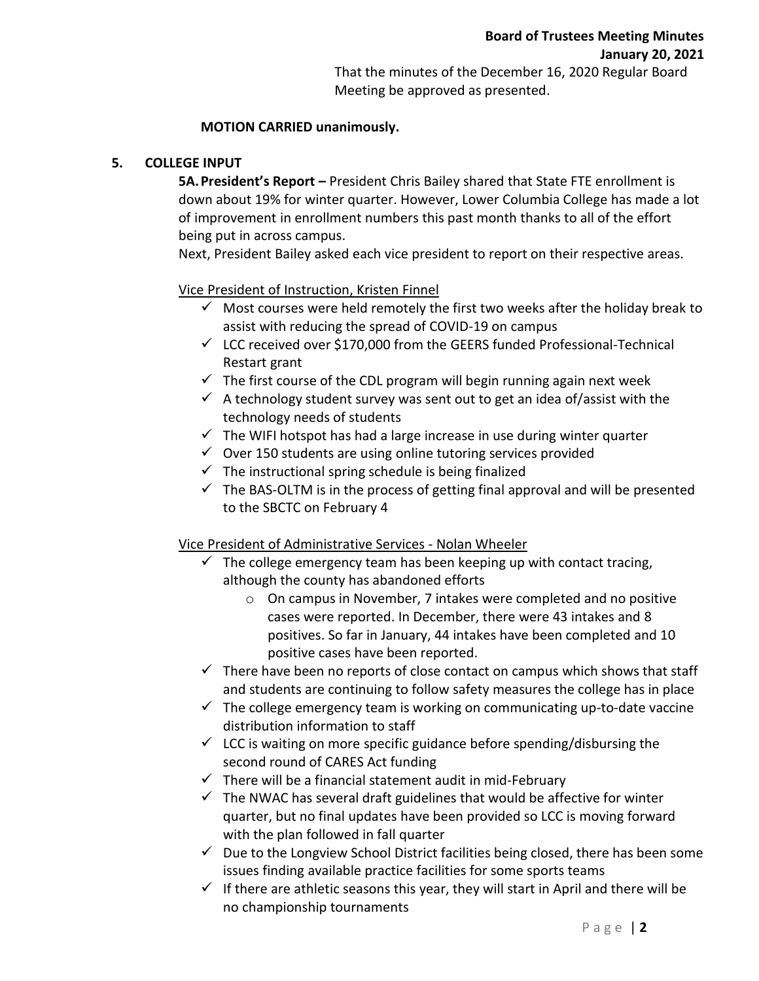That the minutes of the December 16, 2020 Regular Board Meeting be approved as presented.

# **MOTION CARRIED unanimously.**

# **5. COLLEGE INPUT**

**5A.President's Report –** President Chris Bailey shared that State FTE enrollment is down about 19% for winter quarter. However, Lower Columbia College has made a lot of improvement in enrollment numbers this past month thanks to all of the effort being put in across campus.

Next, President Bailey asked each vice president to report on their respective areas.

# Vice President of Instruction, Kristen Finnel

- $\checkmark$  Most courses were held remotely the first two weeks after the holiday break to assist with reducing the spread of COVID-19 on campus
- $\checkmark$  LCC received over \$170,000 from the GEERS funded Professional-Technical Restart grant
- $\checkmark$  The first course of the CDL program will begin running again next week
- $\checkmark$  A technology student survey was sent out to get an idea of/assist with the technology needs of students
- $\checkmark$  The WIFI hotspot has had a large increase in use during winter quarter
- $\checkmark$  Over 150 students are using online tutoring services provided
- $\checkmark$  The instructional spring schedule is being finalized
- $\checkmark$  The BAS-OLTM is in the process of getting final approval and will be presented to the SBCTC on February 4

Vice President of Administrative Services - Nolan Wheeler

- $\checkmark$  The college emergency team has been keeping up with contact tracing, although the county has abandoned efforts
	- o On campus in November, 7 intakes were completed and no positive cases were reported. In December, there were 43 intakes and 8 positives. So far in January, 44 intakes have been completed and 10 positive cases have been reported.
- $\checkmark$  There have been no reports of close contact on campus which shows that staff and students are continuing to follow safety measures the college has in place
- $\checkmark$  The college emergency team is working on communicating up-to-date vaccine distribution information to staff
- $\checkmark$  LCC is waiting on more specific guidance before spending/disbursing the second round of CARES Act funding
- $\checkmark$  There will be a financial statement audit in mid-February
- $\checkmark$  The NWAC has several draft guidelines that would be affective for winter quarter, but no final updates have been provided so LCC is moving forward with the plan followed in fall quarter
- $\checkmark$  Due to the Longview School District facilities being closed, there has been some issues finding available practice facilities for some sports teams
- $\checkmark$  If there are athletic seasons this year, they will start in April and there will be no championship tournaments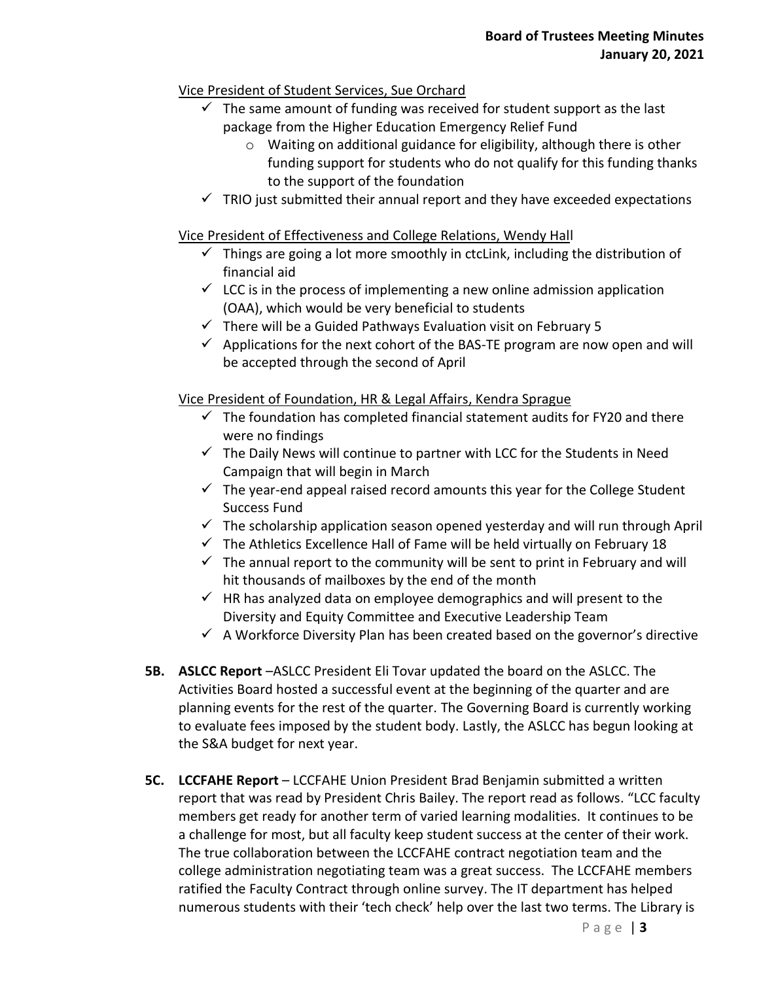# Vice President of Student Services, Sue Orchard

- $\checkmark$  The same amount of funding was received for student support as the last package from the Higher Education Emergency Relief Fund
	- o Waiting on additional guidance for eligibility, although there is other funding support for students who do not qualify for this funding thanks to the support of the foundation
- $\checkmark$  TRIO just submitted their annual report and they have exceeded expectations

# Vice President of Effectiveness and College Relations, Wendy Hall

- $\checkmark$  Things are going a lot more smoothly in ctcLink, including the distribution of financial aid
- $\checkmark$  LCC is in the process of implementing a new online admission application (OAA), which would be very beneficial to students
- $\checkmark$  There will be a Guided Pathways Evaluation visit on February 5
- $\checkmark$  Applications for the next cohort of the BAS-TE program are now open and will be accepted through the second of April

# Vice President of Foundation, HR & Legal Affairs, Kendra Sprague

- $\checkmark$  The foundation has completed financial statement audits for FY20 and there were no findings
- $\checkmark$  The Daily News will continue to partner with LCC for the Students in Need Campaign that will begin in March
- $\checkmark$  The year-end appeal raised record amounts this year for the College Student Success Fund
- $\checkmark$  The scholarship application season opened yesterday and will run through April
- $\checkmark$  The Athletics Excellence Hall of Fame will be held virtually on February 18
- $\checkmark$  The annual report to the community will be sent to print in February and will hit thousands of mailboxes by the end of the month
- $\checkmark$  HR has analyzed data on employee demographics and will present to the Diversity and Equity Committee and Executive Leadership Team
- $\checkmark$  A Workforce Diversity Plan has been created based on the governor's directive
- **5B. ASLCC Report** –ASLCC President Eli Tovar updated the board on the ASLCC. The Activities Board hosted a successful event at the beginning of the quarter and are planning events for the rest of the quarter. The Governing Board is currently working to evaluate fees imposed by the student body. Lastly, the ASLCC has begun looking at the S&A budget for next year.
- **5C. LCCFAHE Report** LCCFAHE Union President Brad Benjamin submitted a written report that was read by President Chris Bailey. The report read as follows. "LCC faculty members get ready for another term of varied learning modalities. It continues to be a challenge for most, but all faculty keep student success at the center of their work. The true collaboration between the LCCFAHE contract negotiation team and the college administration negotiating team was a great success. The LCCFAHE members ratified the Faculty Contract through online survey. The IT department has helped numerous students with their 'tech check' help over the last two terms. The Library is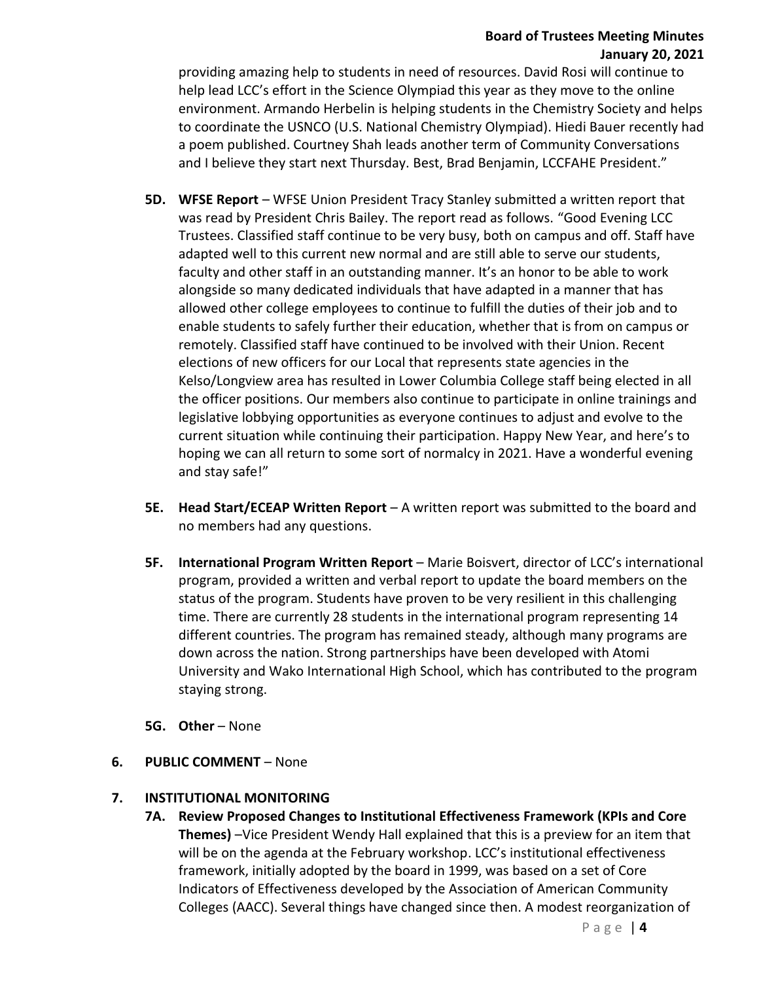# **Board of Trustees Meeting Minutes January 20, 2021**

providing amazing help to students in need of resources. David Rosi will continue to help lead LCC's effort in the Science Olympiad this year as they move to the online environment. Armando Herbelin is helping students in the Chemistry Society and helps to coordinate the USNCO (U.S. National Chemistry Olympiad). Hiedi Bauer recently had a poem published. Courtney Shah leads another term of Community Conversations and I believe they start next Thursday. Best, Brad Benjamin, LCCFAHE President."

- **5D. WFSE Report** WFSE Union President Tracy Stanley submitted a written report that was read by President Chris Bailey. The report read as follows. "Good Evening LCC Trustees. Classified staff continue to be very busy, both on campus and off. Staff have adapted well to this current new normal and are still able to serve our students, faculty and other staff in an outstanding manner. It's an honor to be able to work alongside so many dedicated individuals that have adapted in a manner that has allowed other college employees to continue to fulfill the duties of their job and to enable students to safely further their education, whether that is from on campus or remotely. Classified staff have continued to be involved with their Union. Recent elections of new officers for our Local that represents state agencies in the Kelso/Longview area has resulted in Lower Columbia College staff being elected in all the officer positions. Our members also continue to participate in online trainings and legislative lobbying opportunities as everyone continues to adjust and evolve to the current situation while continuing their participation. Happy New Year, and here's to hoping we can all return to some sort of normalcy in 2021. Have a wonderful evening and stay safe!"
- **5E. Head Start/ECEAP Written Report** A written report was submitted to the board and no members had any questions.
- **5F. International Program Written Report** Marie Boisvert, director of LCC's international program, provided a written and verbal report to update the board members on the status of the program. Students have proven to be very resilient in this challenging time. There are currently 28 students in the international program representing 14 different countries. The program has remained steady, although many programs are down across the nation. Strong partnerships have been developed with Atomi University and Wako International High School, which has contributed to the program staying strong.
- **5G. Other** None
- **6. PUBLIC COMMENT**  None

# **7. INSTITUTIONAL MONITORING**

**7A. Review Proposed Changes to Institutional Effectiveness Framework (KPIs and Core Themes)** –Vice President Wendy Hall explained that this is a preview for an item that will be on the agenda at the February workshop. LCC's institutional effectiveness framework, initially adopted by the board in 1999, was based on a set of Core Indicators of Effectiveness developed by the Association of American Community Colleges (AACC). Several things have changed since then. A modest reorganization of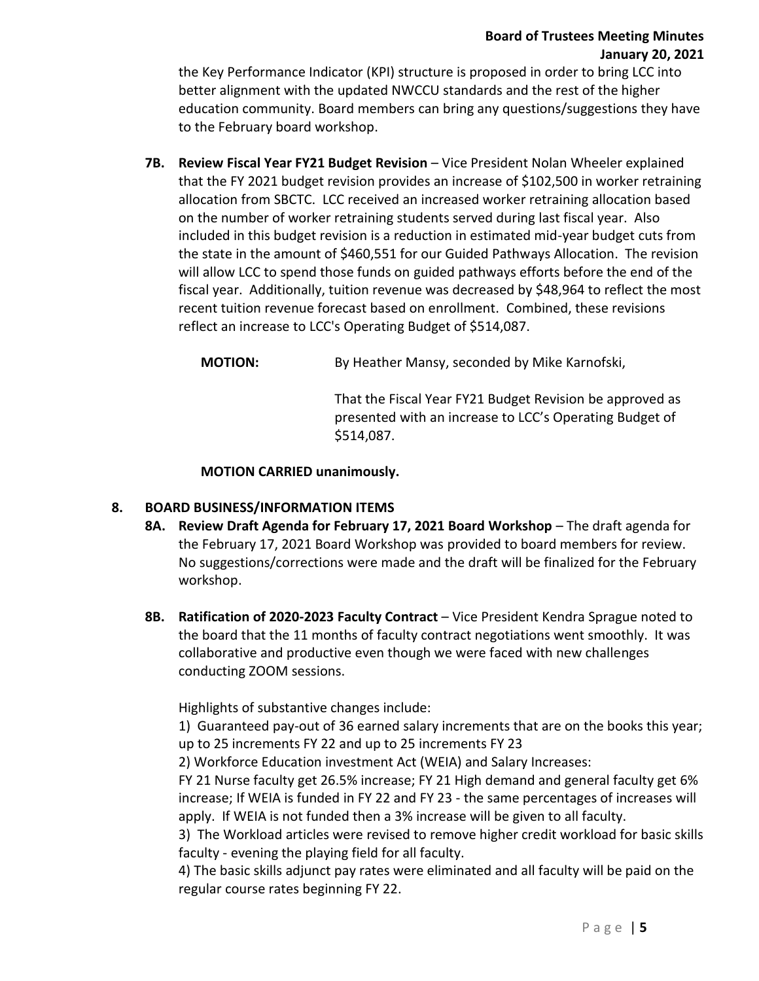# **Board of Trustees Meeting Minutes January 20, 2021**

the Key Performance Indicator (KPI) structure is proposed in order to bring LCC into better alignment with the updated NWCCU standards and the rest of the higher education community. Board members can bring any questions/suggestions they have to the February board workshop.

7B. Review Fiscal Year FY21 Budget Revision - Vice President Nolan Wheeler explained that the FY 2021 budget revision provides an increase of \$102,500 in worker retraining allocation from SBCTC. LCC received an increased worker retraining allocation based on the number of worker retraining students served during last fiscal year. Also included in this budget revision is a reduction in estimated mid-year budget cuts from the state in the amount of \$460,551 for our Guided Pathways Allocation. The revision will allow LCC to spend those funds on guided pathways efforts before the end of the fiscal year. Additionally, tuition revenue was decreased by \$48,964 to reflect the most recent tuition revenue forecast based on enrollment. Combined, these revisions reflect an increase to LCC's Operating Budget of \$514,087.

**MOTION:** By Heather Mansy, seconded by Mike Karnofski,

That the Fiscal Year FY21 Budget Revision be approved as presented with an increase to LCC's Operating Budget of \$514,087.

# **MOTION CARRIED unanimously.**

# **8. BOARD BUSINESS/INFORMATION ITEMS**

- **8A. Review Draft Agenda for February 17, 2021 Board Workshop** The draft agenda for the February 17, 2021 Board Workshop was provided to board members for review. No suggestions/corrections were made and the draft will be finalized for the February workshop.
- **8B. Ratification of 2020-2023 Faculty Contract** Vice President Kendra Sprague noted to the board that the 11 months of faculty contract negotiations went smoothly. It was collaborative and productive even though we were faced with new challenges conducting ZOOM sessions.

Highlights of substantive changes include:

1) Guaranteed pay-out of 36 earned salary increments that are on the books this year; up to 25 increments FY 22 and up to 25 increments FY 23

2) Workforce Education investment Act (WEIA) and Salary Increases:

FY 21 Nurse faculty get 26.5% increase; FY 21 High demand and general faculty get 6% increase; If WEIA is funded in FY 22 and FY 23 - the same percentages of increases will apply. If WEIA is not funded then a 3% increase will be given to all faculty.

3) The Workload articles were revised to remove higher credit workload for basic skills faculty - evening the playing field for all faculty.

4) The basic skills adjunct pay rates were eliminated and all faculty will be paid on the regular course rates beginning FY 22.